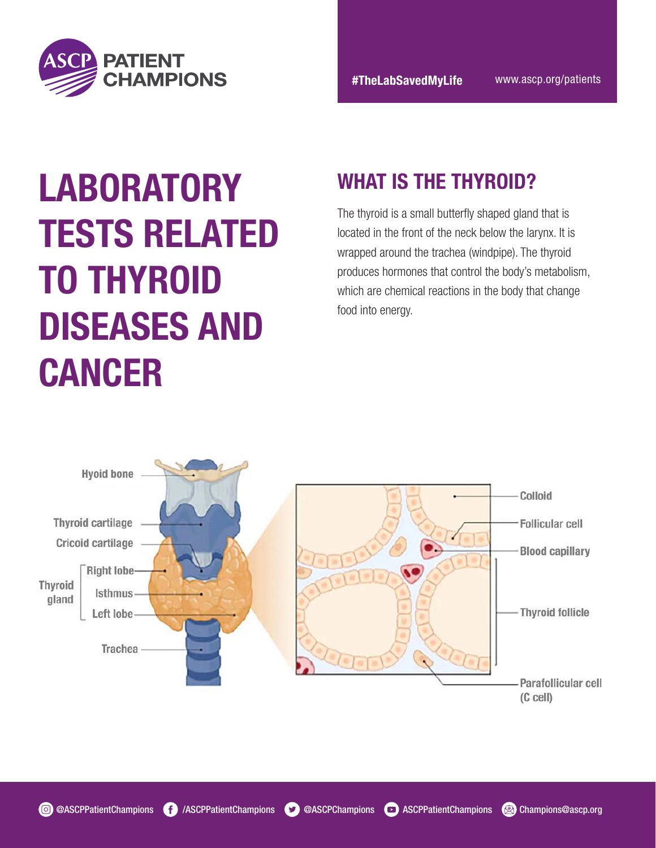

# LABORATORY WHAT IS THE THYROID? TESTS RELATED TO THYROID DISEASES AND CANCER

The thyroid is a small butterfly shaped gland that is located in the front of the neck below the larynx. It is wrapped around the trachea (windpipe). The thyroid produces hormones that control the body's metabolism, which are chemical reactions in the body that change food into energy.

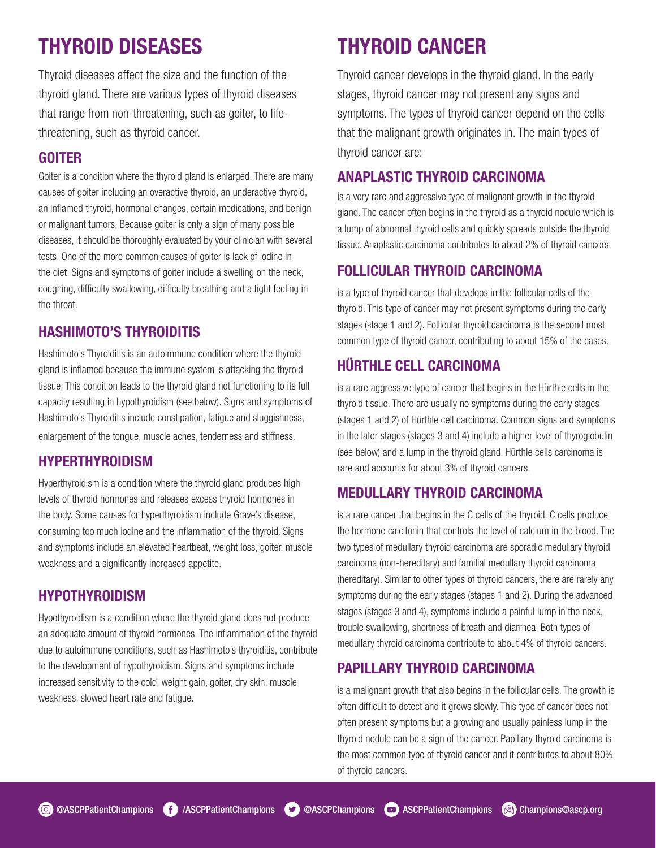### THYROID DISEASES

Thyroid diseases affect the size and the function of the thyroid gland. There are various types of thyroid diseases that range from non-threatening, such as goiter, to lifethreatening, such as thyroid cancer.

#### GOITER

Goiter is a condition where the thyroid gland is enlarged. There are many causes of goiter including an overactive thyroid, an underactive thyroid, an inflamed thyroid, hormonal changes, certain medications, and benign or malignant tumors. Because goiter is only a sign of many possible diseases, it should be thoroughly evaluated by your clinician with several tests. One of the more common causes of goiter is lack of iodine in the diet. Signs and symptoms of goiter include a swelling on the neck, coughing, difficulty swallowing, difficulty breathing and a tight feeling in the throat.

#### HASHIMOTO'S THYROIDITIS

Hashimoto's Thyroiditis is an autoimmune condition where the thyroid gland is inflamed because the immune system is attacking the thyroid tissue. This condition leads to the thyroid gland not functioning to its full capacity resulting in hypothyroidism (see below). Signs and symptoms of Hashimoto's Thyroiditis include constipation, fatigue and sluggishness, enlargement of the tongue, muscle aches, tenderness and stiffness.

#### HYPERTHYROIDISM

Hyperthyroidism is a condition where the thyroid gland produces high levels of thyroid hormones and releases excess thyroid hormones in the body. Some causes for hyperthyroidism include Grave's disease, consuming too much iodine and the inflammation of the thyroid. Signs and symptoms include an elevated heartbeat, weight loss, goiter, muscle weakness and a significantly increased appetite.

#### HYPOTHYROIDISM

Hypothyroidism is a condition where the thyroid gland does not produce an adequate amount of thyroid hormones. The inflammation of the thyroid due to autoimmune conditions, such as Hashimoto's thyroiditis, contribute to the development of hypothyroidism. Signs and symptoms include increased sensitivity to the cold, weight gain, goiter, dry skin, muscle weakness, slowed heart rate and fatigue.

### THYROID CANCER

Thyroid cancer develops in the thyroid gland. In the early stages, thyroid cancer may not present any signs and symptoms. The types of thyroid cancer depend on the cells that the malignant growth originates in. The main types of thyroid cancer are:

#### ANAPLASTIC THYROID CARCINOMA

is a very rare and aggressive type of malignant growth in the thyroid gland. The cancer often begins in the thyroid as a thyroid nodule which is a lump of abnormal thyroid cells and quickly spreads outside the thyroid tissue. Anaplastic carcinoma contributes to about 2% of thyroid cancers.

#### FOLLICULAR THYROID CARCINOMA

is a type of thyroid cancer that develops in the follicular cells of the thyroid. This type of cancer may not present symptoms during the early stages (stage 1 and 2). Follicular thyroid carcinoma is the second most common type of thyroid cancer, contributing to about 15% of the cases.

### HÜRTHLE CELL CARCINOMA

is a rare aggressive type of cancer that begins in the Hürthle cells in the thyroid tissue. There are usually no symptoms during the early stages (stages 1 and 2) of Hürthle cell carcinoma. Common signs and symptoms in the later stages (stages 3 and 4) include a higher level of thyroglobulin (see below) and a lump in the thyroid gland. Hürthle cells carcinoma is rare and accounts for about 3% of thyroid cancers.

#### MEDULLARY THYROID CARCINOMA

is a rare cancer that begins in the C cells of the thyroid. C cells produce the hormone calcitonin that controls the level of calcium in the blood. The two types of medullary thyroid carcinoma are sporadic medullary thyroid carcinoma (non-hereditary) and familial medullary thyroid carcinoma (hereditary). Similar to other types of thyroid cancers, there are rarely any symptoms during the early stages (stages 1 and 2). During the advanced stages (stages 3 and 4), symptoms include a painful lump in the neck, trouble swallowing, shortness of breath and diarrhea. Both types of medullary thyroid carcinoma contribute to about 4% of thyroid cancers.

#### PAPILLARY THYROID CARCINOMA

is a malignant growth that also begins in the follicular cells. The growth is often difficult to detect and it grows slowly. This type of cancer does not often present symptoms but a growing and usually painless lump in the thyroid nodule can be a sign of the cancer. Papillary thyroid carcinoma is the most common type of thyroid cancer and it contributes to about 80% of thyroid cancers.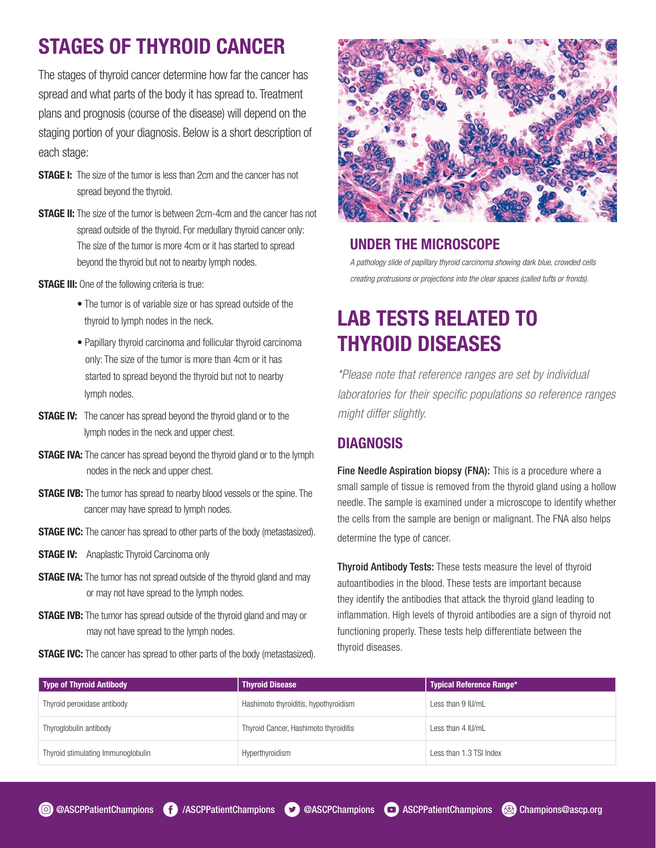### STAGES OF THYROID CANCER

The stages of thyroid cancer determine how far the cancer has spread and what parts of the body it has spread to. Treatment plans and prognosis (course of the disease) will depend on the staging portion of your diagnosis. Below is a short description of each stage:

- **STAGE I:** The size of the tumor is less than 2cm and the cancer has not spread beyond the thyroid.
- **STAGE II:** The size of the tumor is between 2cm-4cm and the cancer has not spread outside of the thyroid. For medullary thyroid cancer only: The size of the tumor is more 4cm or it has started to spread beyond the thyroid but not to nearby lymph nodes.
- **STAGE III:** One of the following criteria is true:
	- The tumor is of variable size or has spread outside of the thyroid to lymph nodes in the neck.
	- Papillary thyroid carcinoma and follicular thyroid carcinoma only: The size of the tumor is more than 4cm or it has started to spread beyond the thyroid but not to nearby lymph nodes.
- **STAGE IV:** The cancer has spread beyond the thyroid gland or to the lymph nodes in the neck and upper chest.
- **STAGE IVA:** The cancer has spread beyond the thyroid gland or to the lymph nodes in the neck and upper chest.
- **STAGE IVB:** The tumor has spread to nearby blood vessels or the spine. The cancer may have spread to lymph nodes.
- **STAGE IVC:** The cancer has spread to other parts of the body (metastasized).
- **STAGE IV:** Anaplastic Thyroid Carcinoma only
- **STAGE IVA:** The tumor has not spread outside of the thyroid gland and may or may not have spread to the lymph nodes.
- **STAGE IVB:** The tumor has spread outside of the thyroid gland and may or may not have spread to the lymph nodes.

**STAGE IVC:** The cancer has spread to other parts of the body (metastasized).



#### UNDER THE MICROSCOPE

*A pathology slide of papillary thyroid carcinoma showing dark blue, crowded cells creating protrusions or projections into the clear spaces (called tufts or fronds).* 

### LAB TESTS RELATED TO THYROID DISEASES

*\*Please note that reference ranges are set by individual laboratories for their specific populations so reference ranges might differ slightly.*

#### **DIAGNOSIS**

Fine Needle Aspiration biopsy (FNA): This is a procedure where a small sample of tissue is removed from the thyroid gland using a hollow needle. The sample is examined under a microscope to identify whether the cells from the sample are benign or malignant. The FNA also helps determine the type of cancer.

Thyroid Antibody Tests: These tests measure the level of thyroid autoantibodies in the blood. These tests are important because they identify the antibodies that attack the thyroid gland leading to inflammation. High levels of thyroid antibodies are a sign of thyroid not functioning properly. These tests help differentiate between the thyroid diseases.

| Type of Thyroid Antibody           | <b>Thyroid Disease</b>                | Typical Reference Range* |
|------------------------------------|---------------------------------------|--------------------------|
| Thyroid peroxidase antibody        | Hashimoto thyroiditis, hypothyroidism | Less than 9 IU/mL        |
| Thyroglobulin antibody             | Thyroid Cancer, Hashimoto thyroiditis | Less than 4 IU/mL        |
| Thyroid stimulating Immunoglobulin | Hyperthyroidism                       | Less than 1.3 TSI Index  |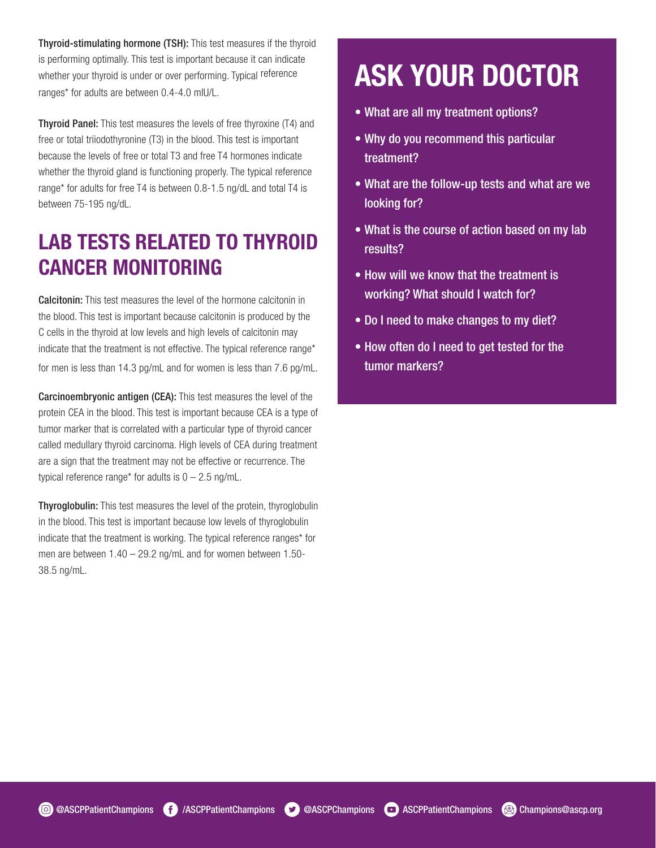Thyroid-stimulating hormone (TSH): This test measures if the thyroid is performing optimally. This test is important because it can indicate whether your thyroid is under or over performing. Typical reference ranges\* for adults are between 0.4-4.0 mIU/L.

Thyroid Panel: This test measures the levels of free thyroxine (T4) and free or total triiodothyronine (T3) in the blood. This test is important because the levels of free or total T3 and free T4 hormones indicate whether the thyroid gland is functioning properly. The typical reference range\* for adults for free T4 is between 0.8-1.5 ng/dL and total T4 is between 75-195 ng/dL.

### LAB TESTS RELATED TO THYROID CANCER MONITORING

Calcitonin: This test measures the level of the hormone calcitonin in the blood. This test is important because calcitonin is produced by the C cells in the thyroid at low levels and high levels of calcitonin may indicate that the treatment is not effective. The typical reference range\* for men is less than 14.3 pg/mL and for women is less than 7.6 pg/mL.

Carcinoembryonic antigen (CEA): This test measures the level of the protein CEA in the blood. This test is important because CEA is a type of tumor marker that is correlated with a particular type of thyroid cancer called medullary thyroid carcinoma. High levels of CEA during treatment are a sign that the treatment may not be effective or recurrence. The typical reference range\* for adults is  $0 - 2.5$  ng/mL.

Thyroglobulin: This test measures the level of the protein, thyroglobulin in the blood. This test is important because low levels of thyroglobulin indicate that the treatment is working. The typical reference ranges\* for men are between 1.40 – 29.2 ng/mL and for women between 1.50- 38.5 ng/mL.

## ASK YOUR DOCTOR

- What are all my treatment options?
- Why do you recommend this particular treatment?
- What are the follow-up tests and what are we looking for?
- What is the course of action based on my lab results?
- How will we know that the treatment is working? What should I watch for?
- Do I need to make changes to my diet?
- How often do I need to get tested for the tumor markers?